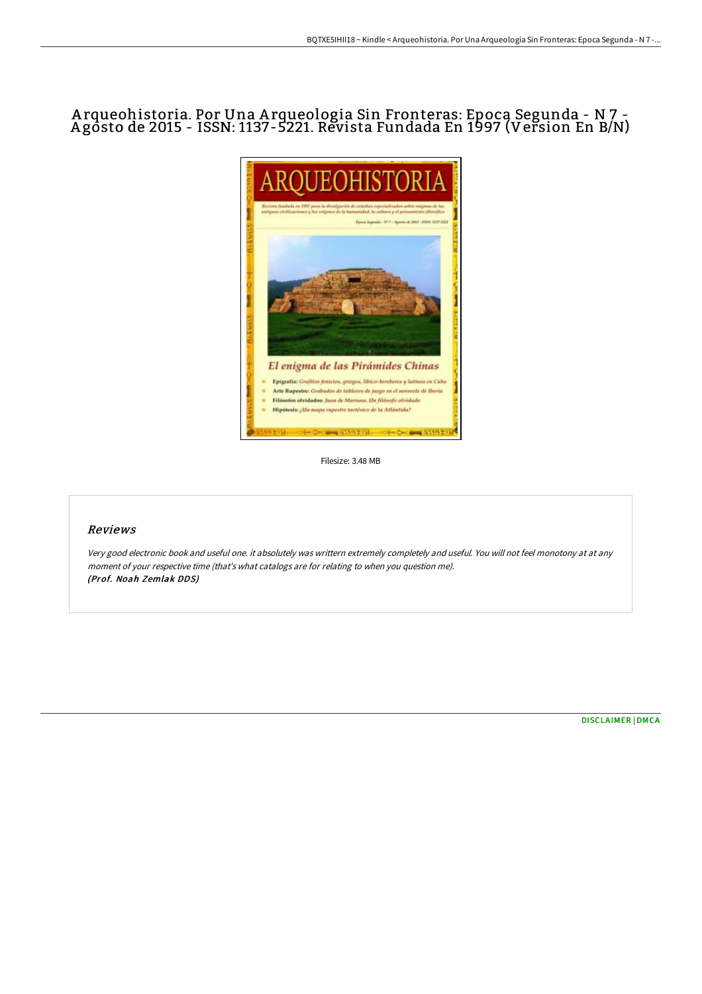# Arqueohistoria. Por Una Arqueologia Sin Fronteras: Epoca Segunda - N 7 -Agōsto de 2015 - ISSN: 1137-5221. Revista Fundada En 1997 (Version En B/N)



Filesize: 3.48 MB

# Reviews

Very good electronic book and useful one. it absolutely was writtern extremely completely and useful. You will not feel monotony at at any moment of your respective time (that's what catalogs are for relating to when you question me). (Prof. Noah Zemlak DDS)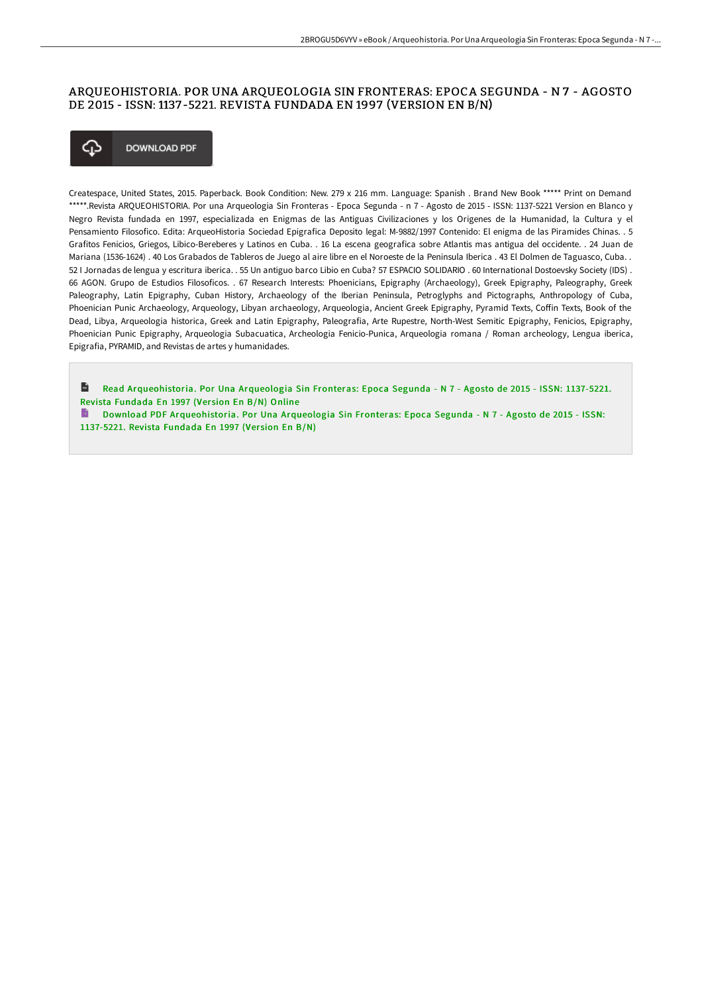# ARQUEOHISTORIA. POR UNA ARQUEOLOGIA SIN FRONTERAS: EPOCA SEGUNDA - N 7 - AGOSTO DE 2015 - ISSN: 1137 -5221. REVISTA FUNDADA EN 1997 (VERSION EN B/N)



Createspace, United States, 2015. Paperback. Book Condition: New. 279 x 216 mm. Language: Spanish . Brand New Book \*\*\*\*\* Print on Demand \*\*\*\*\*.Revista ARQUEOHISTORIA. Por una Arqueologia Sin Fronteras - Epoca Segunda - n 7 - Agosto de 2015 - ISSN: 1137-5221 Version en Blanco y Negro Revista fundada en 1997, especializada en Enigmas de las Antiguas Civilizaciones y los Origenes de la Humanidad, la Cultura y el Pensamiento Filosofico. Edita: ArqueoHistoria Sociedad Epigrafica Deposito legal: M-9882/1997 Contenido: El enigma de las Piramides Chinas. . 5 Grafitos Fenicios, Griegos, Libico-Bereberes y Latinos en Cuba. . 16 La escena geografica sobre Atlantis mas antigua del occidente. . 24 Juan de Mariana (1536-1624) . 40 Los Grabados de Tableros de Juego al aire libre en el Noroeste de la Peninsula Iberica . 43 El Dolmen de Taguasco, Cuba. . 52 I Jornadas de lengua y escritura iberica. . 55 Un antiguo barco Libio en Cuba? 57 ESPACIO SOLIDARIO . 60 International Dostoevsky Society (IDS) . 66 AGON. Grupo de Estudios Filosoficos. . 67 Research Interests: Phoenicians, Epigraphy (Archaeology), Greek Epigraphy, Paleography, Greek Paleography, Latin Epigraphy, Cuban History, Archaeology of the Iberian Peninsula, Petroglyphs and Pictographs, Anthropology of Cuba, Phoenician Punic Archaeology, Arqueology, Libyan archaeology, Arqueologia, Ancient Greek Epigraphy, Pyramid Texts, Coffin Texts, Book of the Dead, Libya, Arqueologia historica, Greek and Latin Epigraphy, Paleografia, Arte Rupestre, North-West Semitic Epigraphy, Fenicios, Epigraphy, Phoenician Punic Epigraphy, Arqueologia Subacuatica, Archeologia Fenicio-Punica, Arqueologia romana / Roman archeology, Lengua iberica, Epigrafia, PYRAMID, and Revistas de artes y humanidades.

 $\mathbf{r}$ Read [Arqueohistoria.](http://techno-pub.tech/arqueohistoria-por-una-arqueologia-sin-fronteras.html) Por Una Arqueologia Sin Fronteras: Epoca Segunda - N 7 - Agosto de 2015 - ISSN: 1137-5221. Revista Fundada En 1997 (Ver sion En B/N) Online

Download PDF [Arqueohistoria.](http://techno-pub.tech/arqueohistoria-por-una-arqueologia-sin-fronteras.html) Por Una Arqueologia Sin Fronteras: Epoca Segunda - N 7 - Agosto de 2015 - ISSN: 1137-5221. Revista Fundada En 1997 (Version En B/N)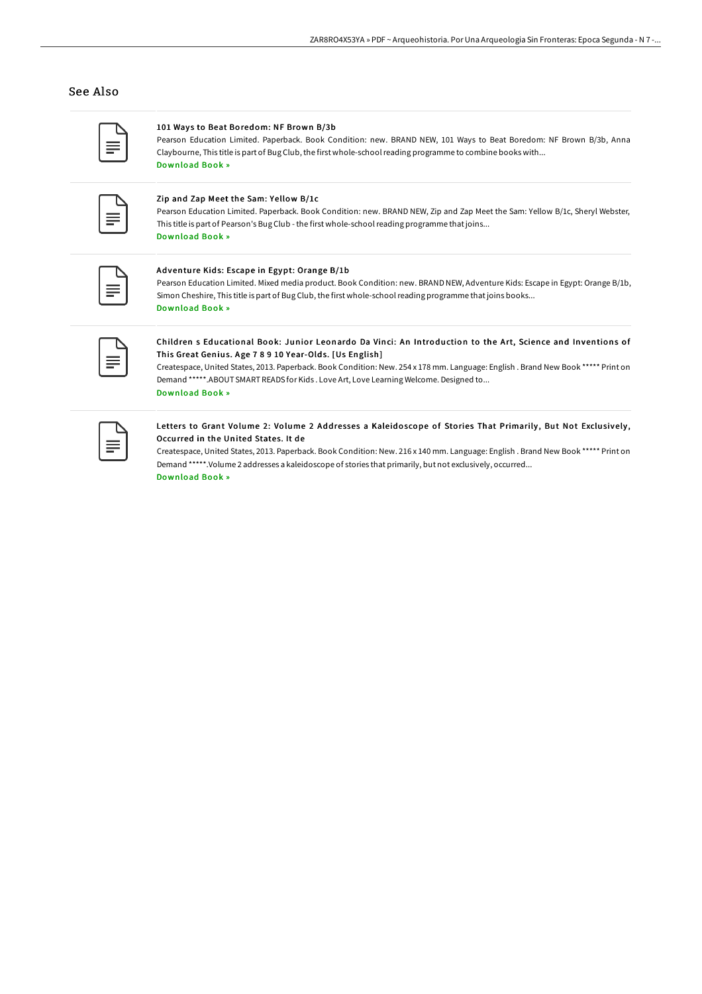## See Also

#### 101 Ways to Beat Boredom: NF Brown B/3b

Pearson Education Limited. Paperback. Book Condition: new. BRAND NEW, 101 Ways to Beat Boredom: NF Brown B/3b, Anna Claybourne, This title is part of Bug Club, the first whole-schoolreading programme to combine books with... [Download](http://techno-pub.tech/101-ways-to-beat-boredom-nf-brown-b-x2f-3b.html) Book »

|--|

## Zip and Zap Meet the Sam: Yellow B/1c

Pearson Education Limited. Paperback. Book Condition: new. BRAND NEW, Zip and Zap Meet the Sam: Yellow B/1c, Sheryl Webster, This title is part of Pearson's Bug Club - the first whole-schoolreading programme thatjoins... [Download](http://techno-pub.tech/zip-and-zap-meet-the-sam-yellow-b-x2f-1c.html) Book »

#### Adventure Kids: Escape in Egypt: Orange B/1b

Pearson Education Limited. Mixed media product. Book Condition: new. BRAND NEW, Adventure Kids: Escape in Egypt: Orange B/1b, Simon Cheshire, This title is part of Bug Club, the first whole-school reading programme that joins books... [Download](http://techno-pub.tech/adventure-kids-escape-in-egypt-orange-b-x2f-1b.html) Book »

# Children s Educational Book: Junior Leonardo Da Vinci: An Introduction to the Art, Science and Inventions of This Great Genius. Age 7 8 9 10 Year-Olds. [Us English]

Createspace, United States, 2013. Paperback. Book Condition: New. 254 x 178 mm. Language: English . Brand New Book \*\*\*\*\* Print on Demand \*\*\*\*\*.ABOUT SMART READS for Kids . Love Art, Love Learning Welcome. Designed to... [Download](http://techno-pub.tech/children-s-educational-book-junior-leonardo-da-v.html) Book »

#### Letters to Grant Volume 2: Volume 2 Addresses a Kaleidoscope of Stories That Primarily, But Not Exclusively, Occurred in the United States. It de

Createspace, United States, 2013. Paperback. Book Condition: New. 216 x 140 mm. Language: English . Brand New Book \*\*\*\*\* Print on Demand \*\*\*\*\*.Volume 2 addresses a kaleidoscope of stories that primarily, but not exclusively, occurred...

[Download](http://techno-pub.tech/letters-to-grant-volume-2-volume-2-addresses-a-k.html) Book »